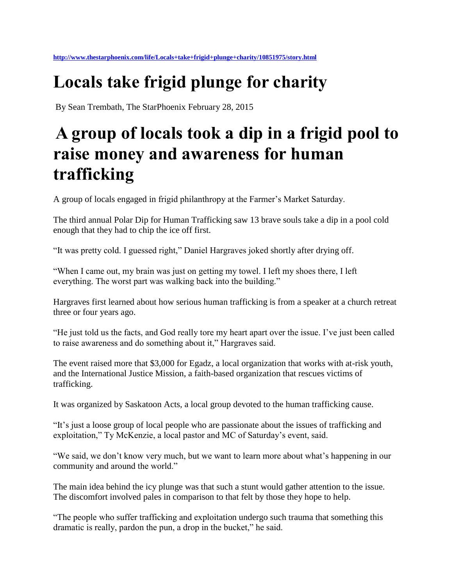## **Locals take frigid plunge for charity**

By Sean Trembath, The StarPhoenix February 28, 2015

## **A group of locals took a dip in a frigid pool to raise money and awareness for human trafficking**

A group of locals engaged in frigid philanthropy at the Farmer's Market Saturday.

The third annual Polar Dip for Human Trafficking saw 13 brave souls take a dip in a pool cold enough that they had to chip the ice off first.

"It was pretty cold. I guessed right," Daniel Hargraves joked shortly after drying off.

"When I came out, my brain was just on getting my towel. I left my shoes there, I left everything. The worst part was walking back into the building."

Hargraves first learned about how serious human trafficking is from a speaker at a church retreat three or four years ago.

"He just told us the facts, and God really tore my heart apart over the issue. I've just been called to raise awareness and do something about it," Hargraves said.

The event raised more that \$3,000 for Egadz, a local organization that works with at-risk youth, and the International Justice Mission, a faith-based organization that rescues victims of trafficking.

It was organized by Saskatoon Acts, a local group devoted to the human trafficking cause.

"It's just a loose group of local people who are passionate about the issues of trafficking and exploitation," Ty McKenzie, a local pastor and MC of Saturday's event, said.

"We said, we don't know very much, but we want to learn more about what's happening in our community and around the world."

The main idea behind the icy plunge was that such a stunt would gather attention to the issue. The discomfort involved pales in comparison to that felt by those they hope to help.

"The people who suffer trafficking and exploitation undergo such trauma that something this dramatic is really, pardon the pun, a drop in the bucket," he said.